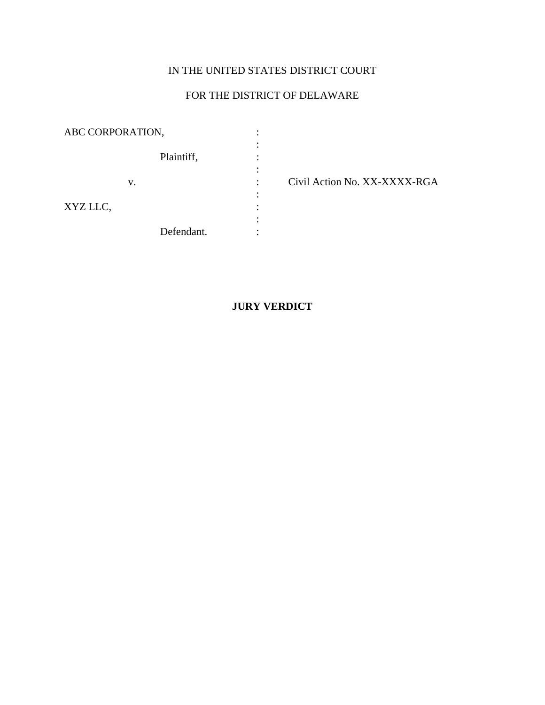## IN THE UNITED STATES DISTRICT COURT

# FOR THE DISTRICT OF DELAWARE

| ABC CORPORATION, |            |  |
|------------------|------------|--|
|                  | Plaintiff, |  |
|                  |            |  |
|                  | V.         |  |
| XYZ LLC,         |            |  |
|                  |            |  |
|                  | Defendant. |  |

Civil Action No. XX-XXXX-RGA

## **JURY VERDICT**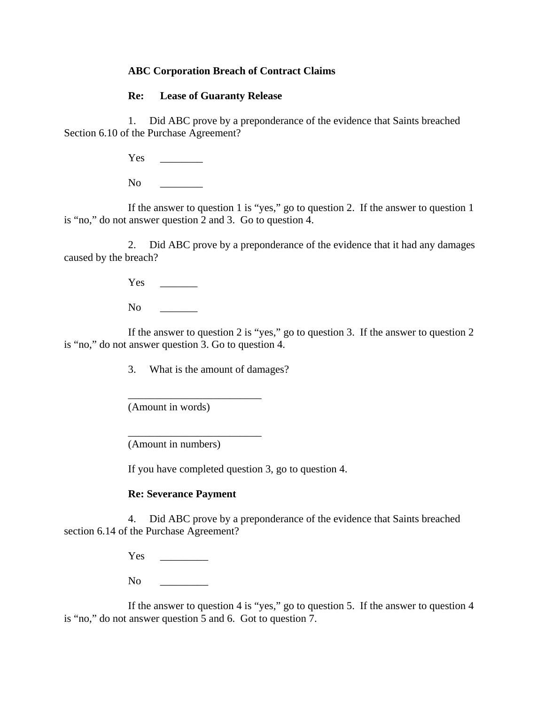## **ABC Corporation Breach of Contract Claims**

### **Re: Lease of Guaranty Release**

1. Did ABC prove by a preponderance of the evidence that Saints breached Section 6.10 of the Purchase Agreement?

Yes \_\_\_\_\_\_\_\_

 $No$ 

If the answer to question 1 is "yes," go to question 2. If the answer to question 1 is "no," do not answer question 2 and 3. Go to question 4.

2. Did ABC prove by a preponderance of the evidence that it had any damages caused by the breach?

Yes \_\_\_\_\_\_\_

 $\bf No$ 

If the answer to question 2 is "yes," go to question 3. If the answer to question 2 is "no," do not answer question 3. Go to question 4.

3. What is the amount of damages?

\_\_\_\_\_\_\_\_\_\_\_\_\_\_\_\_\_\_\_\_\_\_\_\_\_

\_\_\_\_\_\_\_\_\_\_\_\_\_\_\_\_\_\_\_\_\_\_\_\_\_

(Amount in words)

(Amount in numbers)

If you have completed question 3, go to question 4.

## **Re: Severance Payment**

4. Did ABC prove by a preponderance of the evidence that Saints breached section 6.14 of the Purchase Agreement?

Yes \_\_\_\_\_\_\_\_\_

No  $\Box$ 

If the answer to question 4 is "yes," go to question 5. If the answer to question 4 is "no," do not answer question 5 and 6. Got to question 7.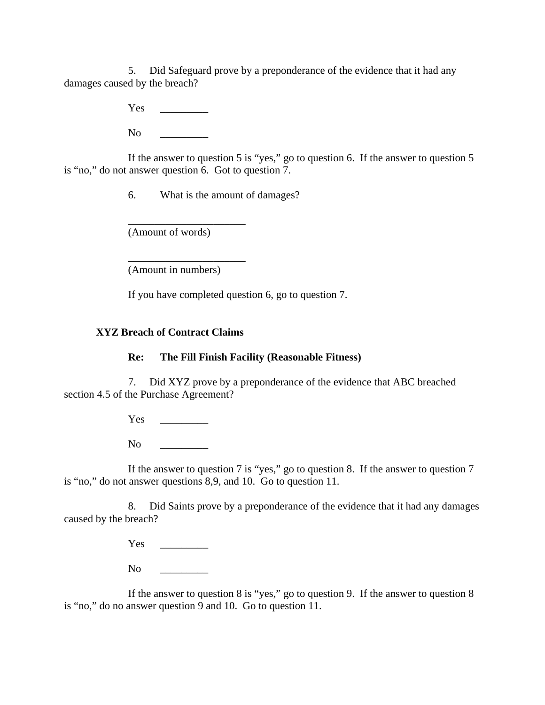5. Did Safeguard prove by a preponderance of the evidence that it had any damages caused by the breach?

Yes \_\_\_\_\_\_\_\_\_

 $\overline{N_{O}}$ 

If the answer to question 5 is "yes," go to question 6. If the answer to question 5 is "no," do not answer question 6. Got to question 7.

6. What is the amount of damages?

(Amount of words)

\_\_\_\_\_\_\_\_\_\_\_\_\_\_\_\_\_\_\_\_\_\_

\_\_\_\_\_\_\_\_\_\_\_\_\_\_\_\_\_\_\_\_\_\_

(Amount in numbers)

If you have completed question 6, go to question 7.

## **XYZ Breach of Contract Claims**

## **Re: The Fill Finish Facility (Reasonable Fitness)**

7. Did XYZ prove by a preponderance of the evidence that ABC breached section 4.5 of the Purchase Agreement?

Yes \_\_\_\_\_\_\_\_\_

No \_\_\_\_\_\_\_\_\_

If the answer to question 7 is "yes," go to question 8. If the answer to question 7 is "no," do not answer questions 8,9, and 10. Go to question 11.

8. Did Saints prove by a preponderance of the evidence that it had any damages caused by the breach?

Yes \_\_\_\_\_\_\_\_\_

 $\overline{\text{No}}$ 

If the answer to question 8 is "yes," go to question 9. If the answer to question 8 is "no," do no answer question 9 and 10. Go to question 11.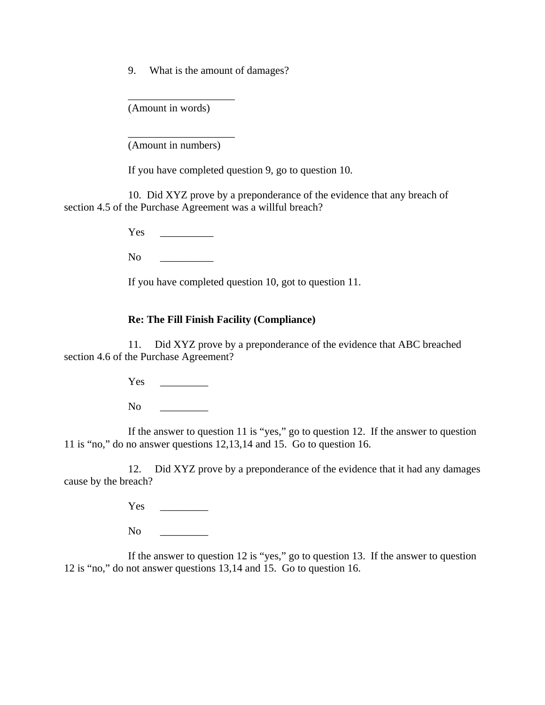9. What is the amount of damages?

(Amount in words)

\_\_\_\_\_\_\_\_\_\_\_\_\_\_\_\_\_\_\_\_

\_\_\_\_\_\_\_\_\_\_\_\_\_\_\_\_\_\_\_\_

(Amount in numbers)

If you have completed question 9, go to question 10.

10. Did XYZ prove by a preponderance of the evidence that any breach of section 4.5 of the Purchase Agreement was a willful breach?

Yes  $\sim$ 

 $\mathbf{No}$ 

If you have completed question 10, got to question 11.

### **Re: The Fill Finish Facility (Compliance)**

11. Did XYZ prove by a preponderance of the evidence that ABC breached section 4.6 of the Purchase Agreement?

Yes \_\_\_\_\_\_\_\_\_

No quantity  $\overline{a}$ 

If the answer to question 11 is "yes," go to question 12. If the answer to question 11 is "no," do no answer questions 12,13,14 and 15. Go to question 16.

12. Did XYZ prove by a preponderance of the evidence that it had any damages cause by the breach?

Yes \_\_\_\_\_\_\_\_\_

No quantity  $\overline{a}$ 

If the answer to question 12 is "yes," go to question 13. If the answer to question 12 is "no," do not answer questions 13,14 and 15. Go to question 16.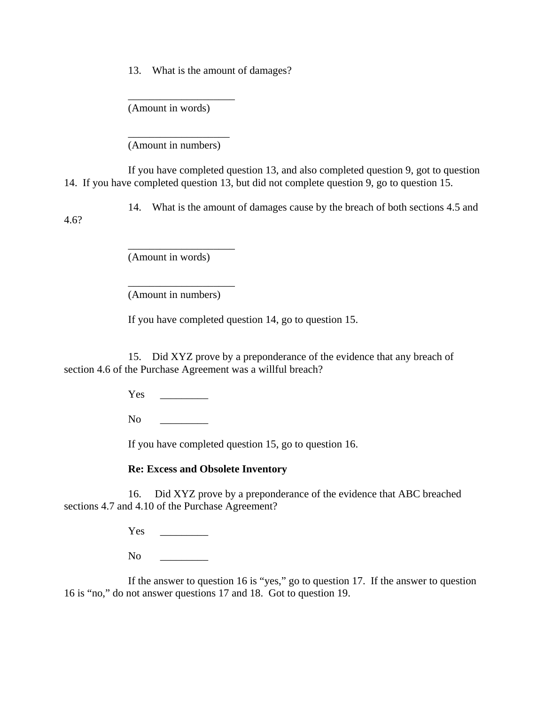13. What is the amount of damages?

(Amount in words)

\_\_\_\_\_\_\_\_\_\_\_\_\_\_\_\_\_\_\_\_

\_\_\_\_\_\_\_\_\_\_\_\_\_\_\_\_\_\_\_ (Amount in numbers)

If you have completed question 13, and also completed question 9, got to question 14. If you have completed question 13, but did not complete question 9, go to question 15.

14. What is the amount of damages cause by the breach of both sections 4.5 and

(Amount in words)

\_\_\_\_\_\_\_\_\_\_\_\_\_\_\_\_\_\_\_\_

\_\_\_\_\_\_\_\_\_\_\_\_\_\_\_\_\_\_\_\_

4.6?

(Amount in numbers)

If you have completed question 14, go to question 15.

15. Did XYZ prove by a preponderance of the evidence that any breach of section 4.6 of the Purchase Agreement was a willful breach?

Yes \_\_\_\_\_\_\_\_\_

No quantity  $\overline{a}$ 

If you have completed question 15, go to question 16.

## **Re: Excess and Obsolete Inventory**

16. Did XYZ prove by a preponderance of the evidence that ABC breached sections 4.7 and 4.10 of the Purchase Agreement?

Yes \_\_\_\_\_\_\_\_\_

 $\rm No$ 

If the answer to question 16 is "yes," go to question 17. If the answer to question 16 is "no," do not answer questions 17 and 18. Got to question 19.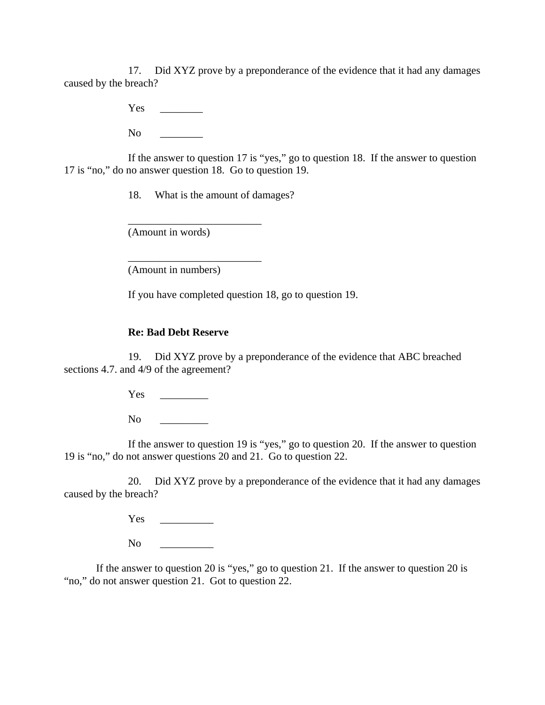17. Did XYZ prove by a preponderance of the evidence that it had any damages caused by the breach?

Yes

 $\overline{N}$ 

If the answer to question 17 is "yes," go to question 18. If the answer to question 17 is "no," do no answer question 18. Go to question 19.

18. What is the amount of damages?

\_\_\_\_\_\_\_\_\_\_\_\_\_\_\_\_\_\_\_\_\_\_\_\_\_

\_\_\_\_\_\_\_\_\_\_\_\_\_\_\_\_\_\_\_\_\_\_\_\_\_

(Amount in words)

(Amount in numbers)

If you have completed question 18, go to question 19.

#### **Re: Bad Debt Reserve**

19. Did XYZ prove by a preponderance of the evidence that ABC breached sections 4.7. and 4/9 of the agreement?

Yes \_\_\_\_\_\_\_\_\_

No quantity  $\overline{a}$ 

If the answer to question 19 is "yes," go to question 20. If the answer to question 19 is "no," do not answer questions 20 and 21. Go to question 22.

20. Did XYZ prove by a preponderance of the evidence that it had any damages caused by the breach?

Yes \_\_\_\_\_\_\_\_\_\_

 $N<sub>0</sub>$ 

If the answer to question 20 is "yes," go to question 21. If the answer to question 20 is "no," do not answer question 21. Got to question 22.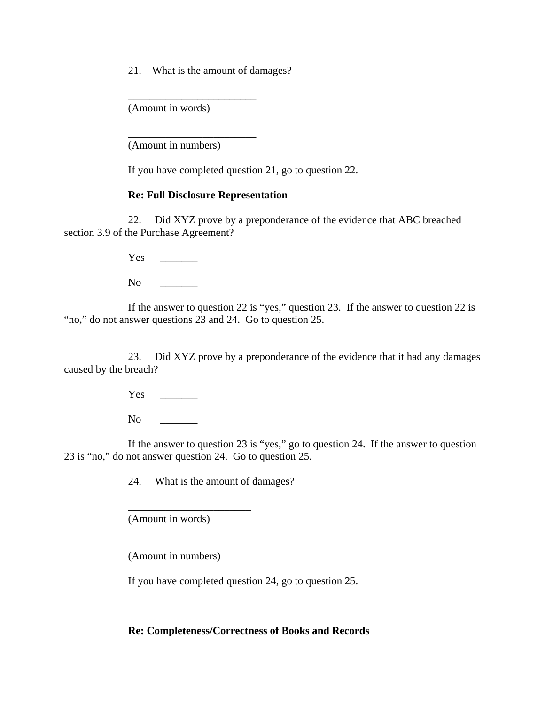21. What is the amount of damages?

\_\_\_\_\_\_\_\_\_\_\_\_\_\_\_\_\_\_\_\_\_\_\_\_

\_\_\_\_\_\_\_\_\_\_\_\_\_\_\_\_\_\_\_\_\_\_\_\_

(Amount in words)

(Amount in numbers)

If you have completed question 21, go to question 22.

#### **Re: Full Disclosure Representation**

 22. Did XYZ prove by a preponderance of the evidence that ABC breached section 3.9 of the Purchase Agreement?

Yes  $\overline{Y}$ 

No quantity  $\overline{a}$ 

If the answer to question 22 is "yes," question 23. If the answer to question 22 is "no," do not answer questions 23 and 24. Go to question 25.

23. Did XYZ prove by a preponderance of the evidence that it had any damages caused by the breach?

Yes \_\_\_\_\_\_\_

 $No$ 

If the answer to question 23 is "yes," go to question 24. If the answer to question 23 is "no," do not answer question 24. Go to question 25.

24. What is the amount of damages?

(Amount in words)

\_\_\_\_\_\_\_\_\_\_\_\_\_\_\_\_\_\_\_\_\_\_\_

\_\_\_\_\_\_\_\_\_\_\_\_\_\_\_\_\_\_\_\_\_\_\_

(Amount in numbers)

If you have completed question 24, go to question 25.

**Re: Completeness/Correctness of Books and Records**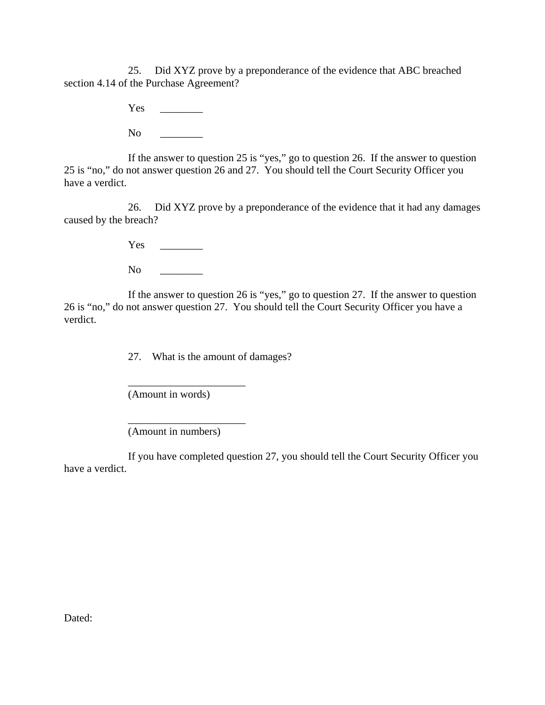25. Did XYZ prove by a preponderance of the evidence that ABC breached section 4.14 of the Purchase Agreement?

Yes \_\_\_\_\_\_\_\_

 $No$ 

If the answer to question 25 is "yes," go to question 26. If the answer to question 25 is "no," do not answer question 26 and 27. You should tell the Court Security Officer you have a verdict.

26. Did XYZ prove by a preponderance of the evidence that it had any damages caused by the breach?

Yes \_\_\_\_\_\_\_\_

 $No$ 

If the answer to question 26 is "yes," go to question 27. If the answer to question 26 is "no," do not answer question 27. You should tell the Court Security Officer you have a verdict.

27. What is the amount of damages?

(Amount in words)

\_\_\_\_\_\_\_\_\_\_\_\_\_\_\_\_\_\_\_\_\_\_

\_\_\_\_\_\_\_\_\_\_\_\_\_\_\_\_\_\_\_\_\_\_

(Amount in numbers)

If you have completed question 27, you should tell the Court Security Officer you have a verdict.

Dated: